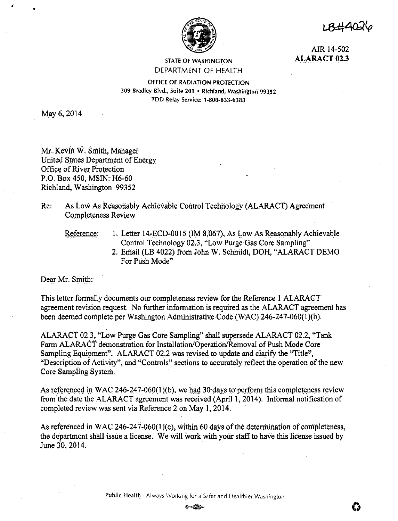

1 RH40-1

AIR 14-502 **ALARACT 02.3** 

## STATE OF WASHINGTON DEPARTMENT OF HEALTH

OFFICE Of RADIATION PROTECTION 309 Bradley Blvd., Suite 201 • Richland, Washington 99352 · TDD Relay Service: 1-800-833-6388

May 6, 2014

;

Mr. Kevin W. Smith, Manager United States Department of Energy Office of River Protection P.O. Box 450, MSIN: H6-60 Richland, Washington 99352

Re: As Low As Reasonabiy Achievable Control Technology (ALARACT) Agreement Completeness Review

Reference: 1. Letter 14-ECD-0015 (IM 8,067), As Low As Reasonably Achievable Control Technology 02.3, "Low Purge Gas Core Sampling"

> 2. Email (LB 4022) from John W. Schmidt, DOH, "ALARACT DEMO For Push Mode"

Dear Mr. Smith:

This letter formally documents our completeness review for the Reference I ALARACT agreement revision request. No further information is required as the ALARACT agreement has been deemed complete per Washington Administrative Code (WAC) 246-247-060(1)(b).

ALARA.CT 02.3, "Low Purge Gas Cote Sampling" shall supersede ALARACT 02.2, ''Tank Farm ALARACT demonstration for Installation/Operation/Removal of Push Mode Core Sampling Equipment". ALARACT 02.2 was revised to update and clarify the "Title", "Description of Activity", and "Controls" sections to accurately reflect the operation of the new Core Sampling System.

As referenced in WAC 246-247-060(1)(b), we had 30 days to perform this completeness review from the date the ALARACT agreement was received (April 1, 2014). Informal notification of completed review was sent via Reference 2 on May I, 2014.

As referenced in WAC 246-247-060(1)(c), within 60 days of the determination of completeness, the department shall issue a license. We will work with your staff to have this license issued by June 30, 2014.